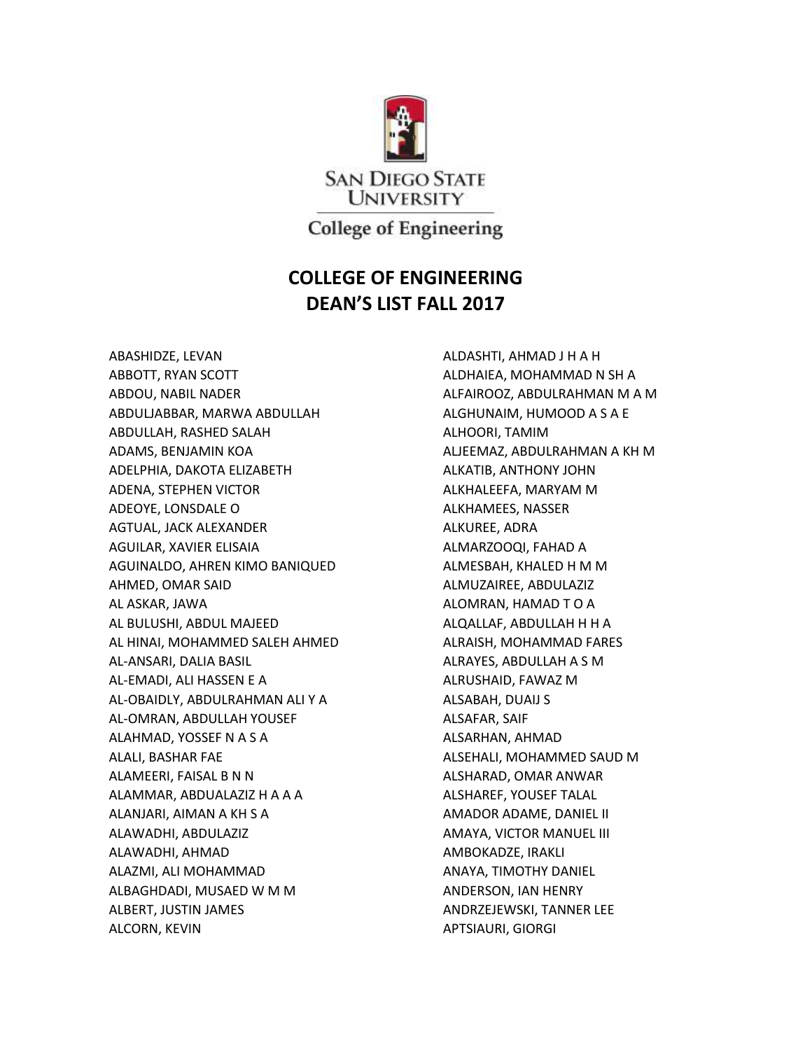

**College of Engineering** 

## **COLLEGE OF ENGINEERING DEAN'S LIST FALL 2017**

ABASHIDZE, LEVAN ABBOTT, RYAN SCOTT ABDOU, NABIL NADER ABDULJABBAR, MARWA ABDULLAH ABDULLAH, RASHED SALAH ADAMS, BENJAMIN KOA ADELPHIA, DAKOTA ELIZABETH ADENA, STEPHEN VICTOR ADEOYE, LONSDALE O AGTUAL, JACK ALEXANDER AGUILAR, XAVIER ELISAIA AGUINALDO, AHREN KIMO BANIQUED AHMED, OMAR SAID AL ASKAR, JAWA AL BULUSHI, ABDUL MAJEED AL HINAI, MOHAMMED SALEH AHMED AL-ANSARI, DALIA BASIL AL-EMADI, ALI HASSEN E A AL-OBAIDLY, ABDULRAHMAN ALI Y A AL-OMRAN, ABDULLAH YOUSEF ALAHMAD, YOSSEF N A S A ALALI, BASHAR FAE ALAMEERI, FAISAL B N N ALAMMAR, ABDUALAZIZ H A A A ALANJARI, AIMAN A KH S A ALAWADHI, ABDULAZIZ ALAWADHI, AHMAD ALAZMI, ALI MOHAMMAD ALBAGHDADI, MUSAED W M M ALBERT, JUSTIN JAMES ALCORN, KEVIN

ALDASHTI, AHMAD J H A H ALDHAIEA, MOHAMMAD N SH A ALFAIROOZ, ABDULRAHMAN M A M ALGHUNAIM, HUMOOD A S A E ALHOORI, TAMIM ALJEEMAZ, ABDULRAHMAN A KH M ALKATIB, ANTHONY JOHN ALKHALEEFA, MARYAM M ALKHAMEES, NASSER ALKUREE, ADRA ALMARZOOQI, FAHAD A ALMESBAH, KHALED H M M ALMUZAIREE, ABDULAZIZ ALOMRAN, HAMAD T O A ALQALLAF, ABDULLAH H H A ALRAISH, MOHAMMAD FARES ALRAYES, ABDULLAH A S M ALRUSHAID, FAWAZ M ALSABAH, DUAIJ S ALSAFAR, SAIF ALSARHAN, AHMAD ALSEHALI, MOHAMMED SAUD M ALSHARAD, OMAR ANWAR ALSHAREF, YOUSEF TALAL AMADOR ADAME, DANIEL II AMAYA, VICTOR MANUEL III AMBOKADZE, IRAKLI ANAYA, TIMOTHY DANIEL ANDERSON, IAN HENRY ANDRZEJEWSKI, TANNER LEE APTSIAURI, GIORGI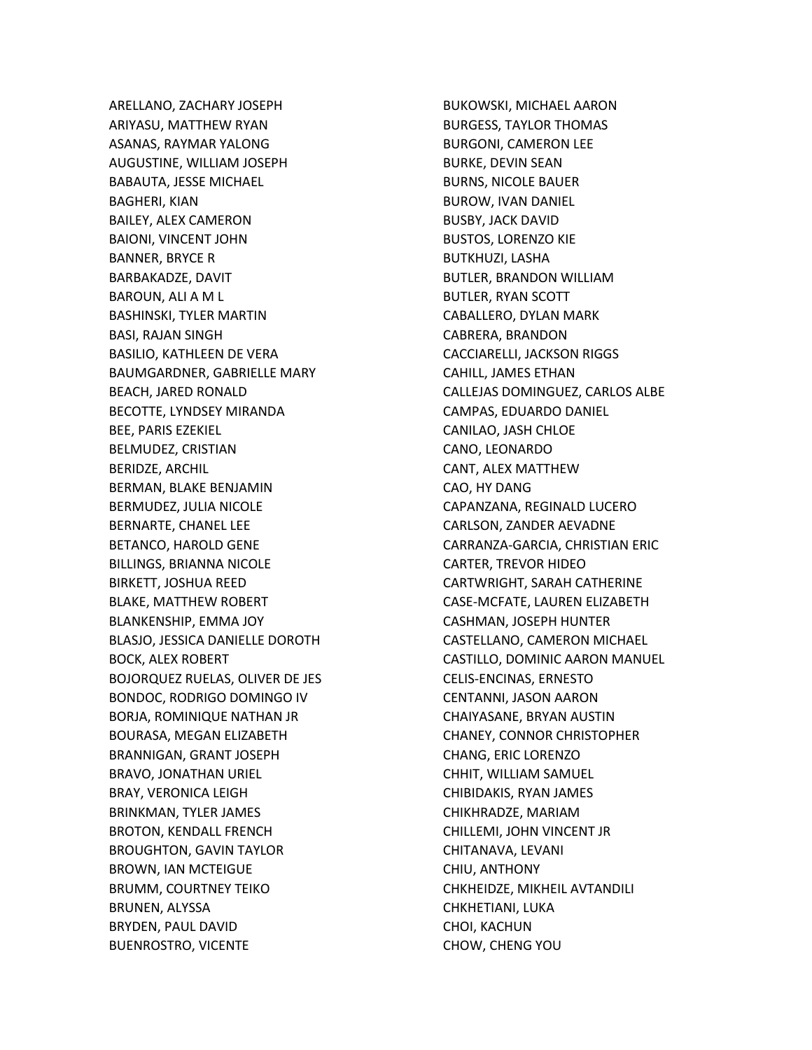ARELLANO, ZACHARY JOSEPH ARIYASU, MATTHEW RYAN ASANAS, RAYMAR YALONG AUGUSTINE, WILLIAM JOSEPH BABAUTA, JESSE MICHAEL BAGHERI, KIAN BAILEY, ALEX CAMERON BAIONI, VINCENT JOHN BANNER, BRYCE R BARBAKADZE, DAVIT BAROUN, ALI A M L BASHINSKI, TYLER MARTIN BASI, RAJAN SINGH BASILIO, KATHLEEN DE VERA BAUMGARDNER, GABRIELLE MARY BEACH, JARED RONALD BECOTTE, LYNDSEY MIRANDA BEE, PARIS EZEKIEL BELMUDEZ, CRISTIAN BERIDZE, ARCHIL BERMAN, BLAKE BENJAMIN BERMUDEZ, JULIA NICOLE BERNARTE, CHANEL LEE BETANCO, HAROLD GENE BILLINGS, BRIANNA NICOLE BIRKETT, JOSHUA REED BLAKE, MATTHEW ROBERT BLANKENSHIP, EMMA JOY BLASJO, JESSICA DANIELLE DOROTH BOCK, ALEX ROBERT BOJORQUEZ RUELAS, OLIVER DE JES BONDOC, RODRIGO DOMINGO IV BORJA, ROMINIQUE NATHAN JR BOURASA, MEGAN ELIZABETH BRANNIGAN, GRANT JOSEPH BRAVO, JONATHAN URIEL BRAY, VERONICA LEIGH BRINKMAN, TYLER JAMES BROTON, KENDALL FRENCH BROUGHTON, GAVIN TAYLOR BROWN, IAN MCTEIGUE BRUMM, COURTNEY TEIKO BRUNEN, ALYSSA BRYDEN, PAUL DAVID BUENROSTRO, VICENTE

BUKOWSKI, MICHAEL AARON BURGESS, TAYLOR THOMAS BURGONI, CAMERON LEE BURKE, DEVIN SEAN BURNS, NICOLE BAUER BUROW, IVAN DANIEL BUSBY, JACK DAVID BUSTOS, LORENZO KIE BUTKHUZI, LASHA BUTLER, BRANDON WILLIAM BUTLER, RYAN SCOTT CABALLERO, DYLAN MARK CABRERA, BRANDON CACCIARELLI, JACKSON RIGGS CAHILL, JAMES ETHAN CALLEJAS DOMINGUEZ, CARLOS ALBE CAMPAS, EDUARDO DANIEL CANILAO, JASH CHLOE CANO, LEONARDO CANT, ALEX MATTHEW CAO, HY DANG CAPANZANA, REGINALD LUCERO CARLSON, ZANDER AEVADNE CARRANZA-GARCIA, CHRISTIAN ERIC CARTER, TREVOR HIDEO CARTWRIGHT, SARAH CATHERINE CASE-MCFATE, LAUREN ELIZABETH CASHMAN, JOSEPH HUNTER CASTELLANO, CAMERON MICHAEL CASTILLO, DOMINIC AARON MANUEL CELIS-ENCINAS, ERNESTO CENTANNI, JASON AARON CHAIYASANE, BRYAN AUSTIN CHANEY, CONNOR CHRISTOPHER CHANG, ERIC LORENZO CHHIT, WILLIAM SAMUEL CHIBIDAKIS, RYAN JAMES CHIKHRADZE, MARIAM CHILLEMI, JOHN VINCENT JR CHITANAVA, LEVANI CHIU, ANTHONY CHKHEIDZE, MIKHEIL AVTANDILI CHKHETIANI, LUKA CHOI, KACHUN CHOW, CHENG YOU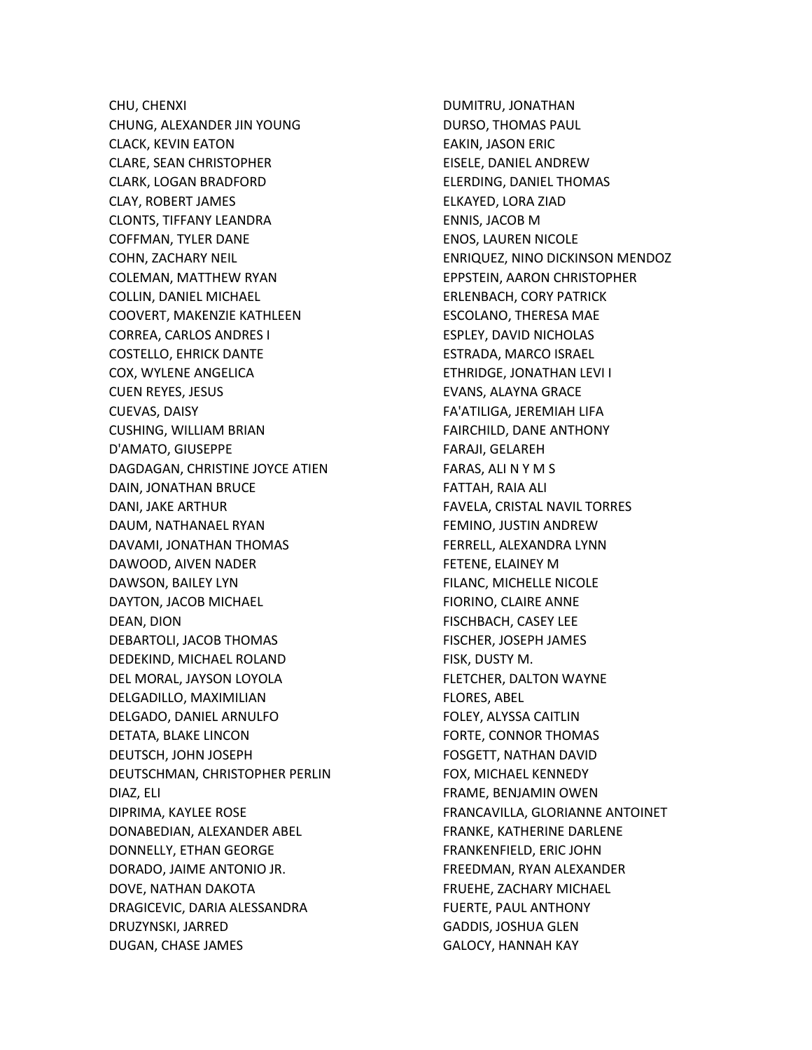CHU, CHENXI CHUNG, ALEXANDER JIN YOUNG CLACK, KEVIN EATON CLARE, SEAN CHRISTOPHER CLARK, LOGAN BRADFORD CLAY, ROBERT JAMES CLONTS, TIFFANY LEANDRA COFFMAN, TYLER DANE COHN, ZACHARY NEIL COLEMAN, MATTHEW RYAN COLLIN, DANIEL MICHAEL COOVERT, MAKENZIE KATHLEEN CORREA, CARLOS ANDRES I COSTELLO, EHRICK DANTE COX, WYLENE ANGELICA CUEN REYES, JESUS CUEVAS, DAISY CUSHING, WILLIAM BRIAN D'AMATO, GIUSEPPE DAGDAGAN, CHRISTINE JOYCE ATIEN DAIN, JONATHAN BRUCE DANI, JAKE ARTHUR DAUM, NATHANAEL RYAN DAVAMI, JONATHAN THOMAS DAWOOD, AIVEN NADER DAWSON, BAILEY LYN DAYTON, JACOB MICHAEL DEAN, DION DEBARTOLI, JACOB THOMAS DEDEKIND, MICHAEL ROLAND DEL MORAL, JAYSON LOYOLA DELGADILLO, MAXIMILIAN DELGADO, DANIEL ARNULFO DETATA, BLAKE LINCON DEUTSCH, JOHN JOSEPH DEUTSCHMAN, CHRISTOPHER PERLIN DIAZ, ELI DIPRIMA, KAYLEE ROSE DONABEDIAN, ALEXANDER ABEL DONNELLY, ETHAN GEORGE DORADO, JAIME ANTONIO JR. DOVE, NATHAN DAKOTA DRAGICEVIC, DARIA ALESSANDRA DRUZYNSKI, JARRED DUGAN, CHASE JAMES

DUMITRU, JONATHAN DURSO, THOMAS PAUL EAKIN, JASON ERIC EISELE, DANIEL ANDREW ELERDING, DANIEL THOMAS ELKAYED, LORA ZIAD ENNIS, JACOB M ENOS, LAUREN NICOLE ENRIQUEZ, NINO DICKINSON MENDOZ EPPSTEIN, AARON CHRISTOPHER ERLENBACH, CORY PATRICK ESCOLANO, THERESA MAE ESPLEY, DAVID NICHOLAS ESTRADA, MARCO ISRAEL ETHRIDGE, JONATHAN LEVI I EVANS, ALAYNA GRACE FA'ATILIGA, JEREMIAH LIFA FAIRCHILD, DANE ANTHONY FARAJI, GELAREH FARAS, ALI N Y M S FATTAH, RAIA ALI FAVELA, CRISTAL NAVIL TORRES FEMINO, JUSTIN ANDREW FERRELL, ALEXANDRA LYNN FETENE, ELAINEY M FILANC, MICHELLE NICOLE FIORINO, CLAIRE ANNE FISCHBACH, CASEY LEE FISCHER, JOSEPH JAMES FISK, DUSTY M. FLETCHER, DALTON WAYNE FLORES, ABEL FOLEY, ALYSSA CAITLIN FORTE, CONNOR THOMAS FOSGETT, NATHAN DAVID FOX, MICHAEL KENNEDY FRAME, BENJAMIN OWEN FRANCAVILLA, GLORIANNE ANTOINET FRANKE, KATHERINE DARLENE FRANKENFIELD, ERIC JOHN FREEDMAN, RYAN ALEXANDER FRUEHE, ZACHARY MICHAEL FUERTE, PAUL ANTHONY GADDIS, JOSHUA GLEN GALOCY, HANNAH KAY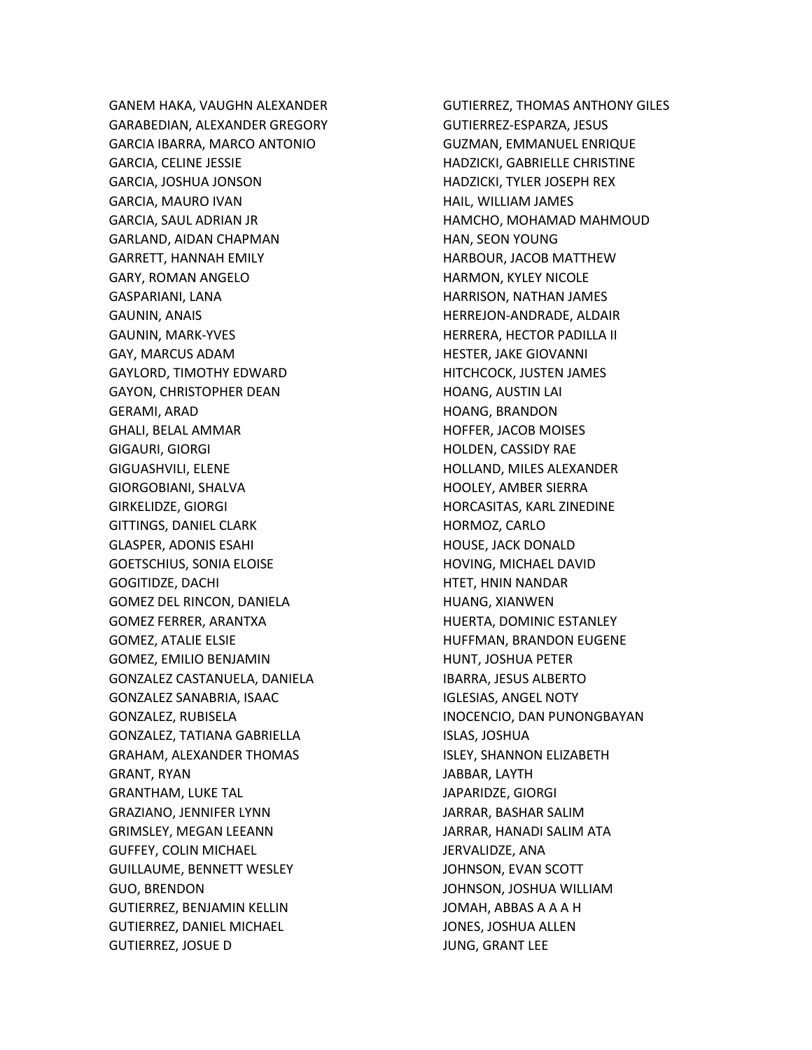GANEM HAKA, VAUGHN ALEXANDER GARABEDIAN, ALEXANDER GREGORY GARCIA IBARRA, MARCO ANTONIO GARCIA, CELINE JESSIE GARCIA, JOSHUA JONSON GARCIA, MAURO IVAN GARCIA, SAUL ADRIAN JR GARLAND, AIDAN CHAPMAN GARRETT, HANNAH EMILY GARY, ROMAN ANGELO GASPARIANI, LANA GAUNIN, ANAIS GAUNIN, MARK-YVES GAY, MARCUS ADAM GAYLORD, TIMOTHY EDWARD GAYON, CHRISTOPHER DEAN GERAMI, ARAD GHALI, BELAL AMMAR GIGAURI, GIORGI GIGUASHVILI, ELENE GIORGOBIANI, SHALVA GIRKELIDZE, GIORGI GITTINGS, DANIEL CLARK GLASPER, ADONIS ESAHI GOETSCHIUS, SONIA ELOISE GOGITIDZE, DACHI GOMEZ DEL RINCON, DANIELA GOMEZ FERRER, ARANTXA GOMEZ, ATALIE ELSIE GOMEZ, EMILIO BENJAMIN GONZALEZ CASTANUELA, DANIELA GONZALEZ SANABRIA, ISAAC GONZALEZ, RUBISELA GONZALEZ, TATIANA GABRIELLA GRAHAM, ALEXANDER THOMAS GRANT, RYAN GRANTHAM, LUKE TAL GRAZIANO, JENNIFER LYNN GRIMSLEY, MEGAN LEEANN GUFFEY, COLIN MICHAEL GUILLAUME, BENNETT WESLEY GUO, BRENDON GUTIERREZ, BENJAMIN KELLIN GUTIERREZ, DANIEL MICHAEL GUTIERREZ, JOSUE D

GUTIERREZ, THOMAS ANTHONY GILES GUTIERREZ-ESPARZA, JESUS GUZMAN, EMMANUEL ENRIQUE HADZICKI, GABRIELLE CHRISTINE HADZICKI, TYLER JOSEPH REX HAIL, WILLIAM JAMES HAMCHO, MOHAMAD MAHMOUD HAN, SEON YOUNG HARBOUR, JACOB MATTHEW HARMON, KYLEY NICOLE HARRISON, NATHAN JAMES HERREJON-ANDRADE, ALDAIR HERRERA, HECTOR PADILLA II HESTER, JAKE GIOVANNI HITCHCOCK, JUSTEN JAMES HOANG, AUSTIN LAI HOANG, BRANDON HOFFER, JACOB MOISES HOLDEN, CASSIDY RAE HOLLAND, MILES ALEXANDER HOOLEY, AMBER SIERRA HORCASITAS, KARL ZINEDINE HORMOZ, CARLO HOUSE, JACK DONALD HOVING, MICHAEL DAVID HTET, HNIN NANDAR HUANG, XIANWEN HUERTA, DOMINIC ESTANLEY HUFFMAN, BRANDON EUGENE HUNT, JOSHUA PETER IBARRA, JESUS ALBERTO IGLESIAS, ANGEL NOTY INOCENCIO, DAN PUNONGBAYAN ISLAS, JOSHUA ISLEY, SHANNON ELIZABETH JABBAR, LAYTH JAPARIDZE, GIORGI JARRAR, BASHAR SALIM JARRAR, HANADI SALIM ATA JERVALIDZE, ANA JOHNSON, EVAN SCOTT JOHNSON, JOSHUA WILLIAM JOMAH, ABBAS A A A H JONES, JOSHUA ALLEN JUNG, GRANT LEE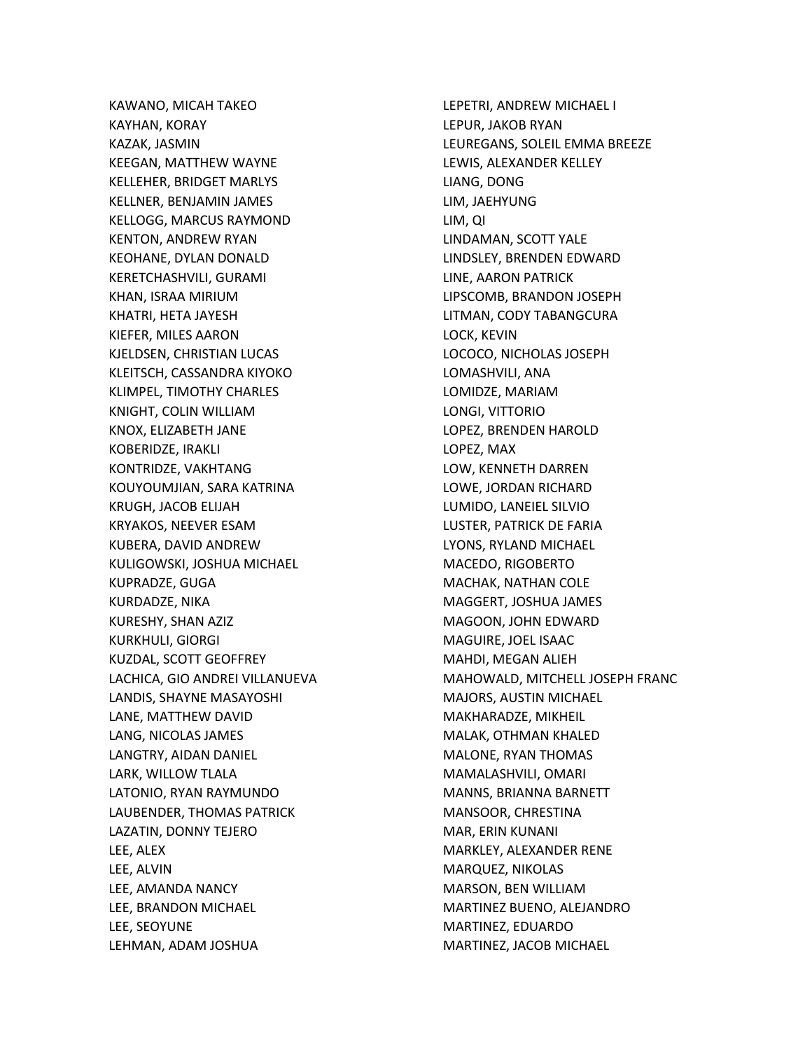KAWANO, MICAH TAKEO KAYHAN, KORAY KAZAK, JASMIN KEEGAN, MATTHEW WAYNE KELLEHER, BRIDGET MARLYS KELLNER, BENJAMIN JAMES KELLOGG, MARCUS RAYMOND KENTON, ANDREW RYAN KEOHANE, DYLAN DONALD KERETCHASHVILI, GURAMI KHAN, ISRAA MIRIUM KHATRI, HETA JAYESH KIEFER, MILES AARON KJELDSEN, CHRISTIAN LUCAS KLEITSCH, CASSANDRA KIYOKO KLIMPEL, TIMOTHY CHARLES KNIGHT, COLIN WILLIAM KNOX, ELIZABETH JANE KOBERIDZE, IRAKLI KONTRIDZE, VAKHTANG KOUYOUMJIAN, SARA KATRINA KRUGH, JACOB ELIJAH KRYAKOS, NEEVER ESAM KUBERA, DAVID ANDREW KULIGOWSKI, JOSHUA MICHAEL KUPRADZE, GUGA KURDADZE, NIKA KURESHY, SHAN AZIZ KURKHULI, GIORGI KUZDAL, SCOTT GEOFFREY LACHICA, GIO ANDREI VILLANUEVA LANDIS, SHAYNE MASAYOSHI LANE, MATTHEW DAVID LANG, NICOLAS JAMES LANGTRY, AIDAN DANIEL LARK, WILLOW TLALA LATONIO, RYAN RAYMUNDO LAUBENDER, THOMAS PATRICK LAZATIN, DONNY TEJERO LEE, ALEX LEE, ALVIN LEE, AMANDA NANCY LEE, BRANDON MICHAEL LEE, SEOYUNE LEHMAN, ADAM JOSHUA

LEPETRI, ANDREW MICHAEL I LEPUR, JAKOB RYAN LEUREGANS, SOLEIL EMMA BREEZE LEWIS, ALEXANDER KELLEY LIANG, DONG LIM, JAEHYUNG LIM, QI LINDAMAN, SCOTT YALE LINDSLEY, BRENDEN EDWARD LINE, AARON PATRICK LIPSCOMB, BRANDON JOSEPH LITMAN, CODY TABANGCURA LOCK, KEVIN LOCOCO, NICHOLAS JOSEPH LOMASHVILI, ANA LOMIDZE, MARIAM LONGI, VITTORIO LOPEZ, BRENDEN HAROLD LOPEZ, MAX LOW, KENNETH DARREN LOWE, JORDAN RICHARD LUMIDO, LANEIEL SILVIO LUSTER, PATRICK DE FARIA LYONS, RYLAND MICHAEL MACEDO, RIGOBERTO MACHAK, NATHAN COLE MAGGERT, JOSHUA JAMES MAGOON, JOHN EDWARD MAGUIRE, JOEL ISAAC MAHDI, MEGAN ALIEH MAHOWALD, MITCHELL JOSEPH FRANC MAJORS, AUSTIN MICHAEL MAKHARADZE, MIKHEIL MALAK, OTHMAN KHALED MALONE, RYAN THOMAS MAMALASHVILI, OMARI MANNS, BRIANNA BARNETT MANSOOR, CHRESTINA MAR, ERIN KUNANI MARKLEY, ALEXANDER RENE MARQUEZ, NIKOLAS MARSON, BEN WILLIAM MARTINEZ BUENO, ALEJANDRO MARTINEZ, EDUARDO MARTINEZ, JACOB MICHAEL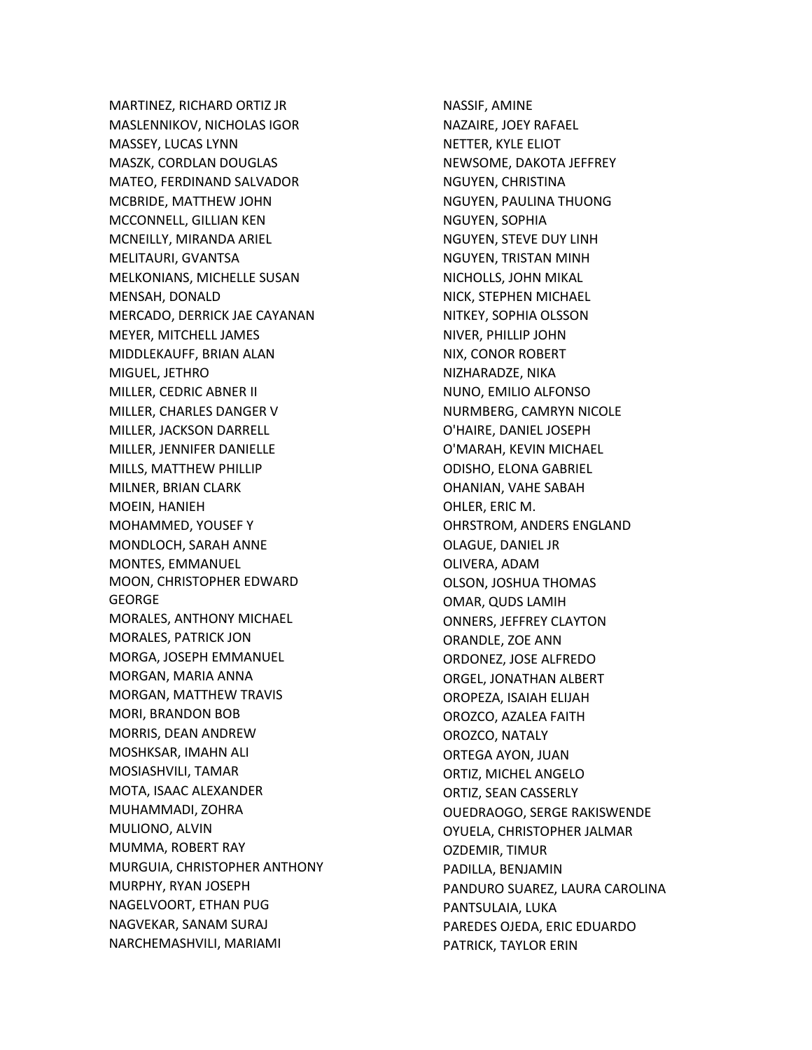MARTINEZ, RICHARD ORTIZ JR MASLENNIKOV, NICHOLAS IGOR MASSEY, LUCAS LYNN MASZK, CORDLAN DOUGLAS MATEO, FERDINAND SALVADOR MCBRIDE, MATTHEW JOHN MCCONNELL, GILLIAN KEN MCNEILLY, MIRANDA ARIEL MELITAURI, GVANTSA MELKONIANS, MICHELLE SUSAN MENSAH, DONALD MERCADO, DERRICK JAE CAYANAN MEYER, MITCHELL JAMES MIDDLEKAUFF, BRIAN ALAN MIGUEL, JETHRO MILLER, CEDRIC ABNER II MILLER, CHARLES DANGER V MILLER, JACKSON DARRELL MILLER, JENNIFER DANIELLE MILLS, MATTHEW PHILLIP MILNER, BRIAN CLARK MOEIN, HANIEH MOHAMMED, YOUSEF Y MONDLOCH, SARAH ANNE MONTES, EMMANUEL MOON, CHRISTOPHER EDWARD GEORGE MORALES, ANTHONY MICHAEL MORALES, PATRICK JON MORGA, JOSEPH EMMANUEL MORGAN, MARIA ANNA MORGAN, MATTHEW TRAVIS MORI, BRANDON BOB MORRIS, DEAN ANDREW MOSHKSAR, IMAHN ALI MOSIASHVILI, TAMAR MOTA, ISAAC ALEXANDER MUHAMMADI, ZOHRA MULIONO, ALVIN MUMMA, ROBERT RAY MURGUIA, CHRISTOPHER ANTHONY MURPHY, RYAN JOSEPH NAGELVOORT, ETHAN PUG NAGVEKAR, SANAM SURAJ NARCHEMASHVILI, MARIAMI

NASSIF, AMINE NAZAIRE, JOEY RAFAEL NETTER, KYLE ELIOT NEWSOME, DAKOTA JEFFREY NGUYEN, CHRISTINA NGUYEN, PAULINA THUONG NGUYEN, SOPHIA NGUYEN, STEVE DUY LINH NGUYEN, TRISTAN MINH NICHOLLS, JOHN MIKAL NICK, STEPHEN MICHAEL NITKEY, SOPHIA OLSSON NIVER, PHILLIP JOHN NIX, CONOR ROBERT NIZHARADZE, NIKA NUNO, EMILIO ALFONSO NURMBERG, CAMRYN NICOLE O'HAIRE, DANIEL JOSEPH O'MARAH, KEVIN MICHAEL ODISHO, ELONA GABRIEL OHANIAN, VAHE SABAH OHLER, ERIC M. OHRSTROM, ANDERS ENGLAND OLAGUE, DANIEL JR OLIVERA, ADAM OLSON, JOSHUA THOMAS OMAR, QUDS LAMIH ONNERS, JEFFREY CLAYTON ORANDLE, ZOE ANN ORDONEZ, JOSE ALFREDO ORGEL, JONATHAN ALBERT OROPEZA, ISAIAH ELIJAH OROZCO, AZALEA FAITH OROZCO, NATALY ORTEGA AYON, JUAN ORTIZ, MICHEL ANGELO ORTIZ, SEAN CASSERLY OUEDRAOGO, SERGE RAKISWENDE OYUELA, CHRISTOPHER JALMAR OZDEMIR, TIMUR PADILLA, BENJAMIN PANDURO SUAREZ, LAURA CAROLINA PANTSULAIA, LUKA PAREDES OJEDA, ERIC EDUARDO PATRICK, TAYLOR ERIN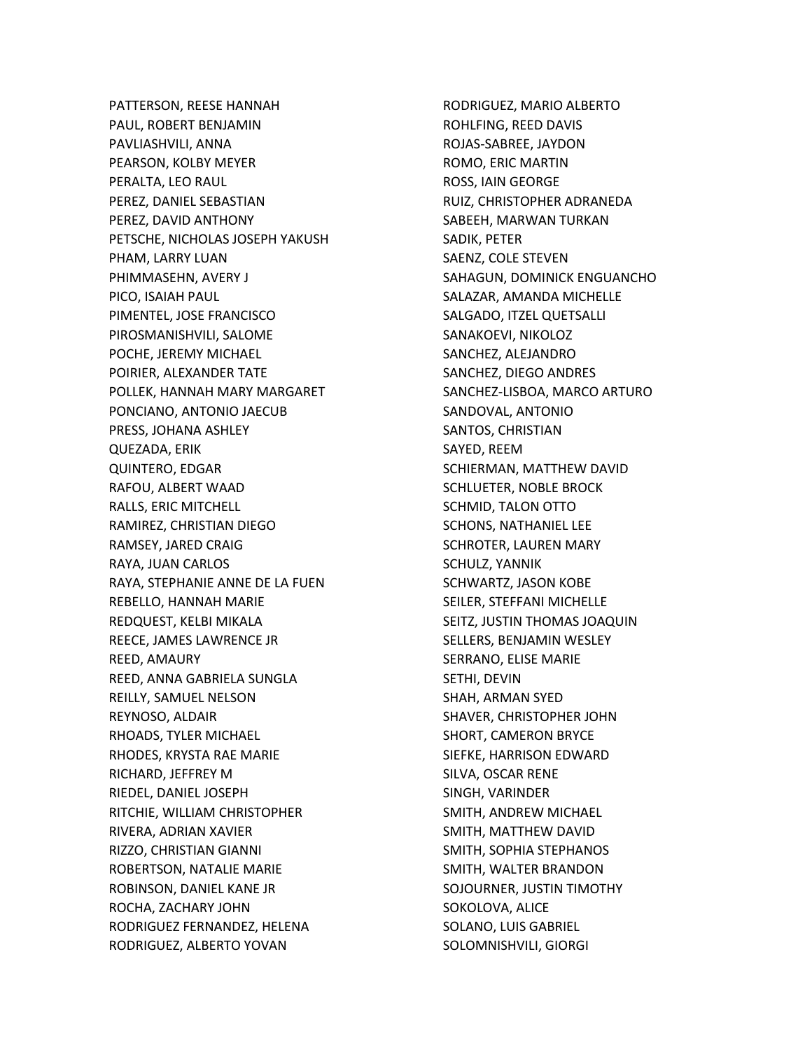PATTERSON, REESE HANNAH PAUL, ROBERT BENJAMIN PAVLIASHVILI, ANNA PEARSON, KOLBY MEYER PERALTA, LEO RAUL PEREZ, DANIEL SEBASTIAN PEREZ, DAVID ANTHONY PETSCHE, NICHOLAS JOSEPH YAKUSH PHAM, LARRY LUAN PHIMMASEHN, AVERY J PICO, ISAIAH PAUL PIMENTEL, JOSE FRANCISCO PIROSMANISHVILI, SALOME POCHE, JEREMY MICHAEL POIRIER, ALEXANDER TATE POLLEK, HANNAH MARY MARGARET PONCIANO, ANTONIO JAECUB PRESS, JOHANA ASHLEY QUEZADA, ERIK QUINTERO, EDGAR RAFOU, ALBERT WAAD RALLS, ERIC MITCHELL RAMIREZ, CHRISTIAN DIEGO RAMSEY, JARED CRAIG RAYA, JUAN CARLOS RAYA, STEPHANIE ANNE DE LA FUEN REBELLO, HANNAH MARIE REDQUEST, KELBI MIKALA REECE, JAMES LAWRENCE JR REED, AMAURY REED, ANNA GABRIELA SUNGLA REILLY, SAMUEL NELSON REYNOSO, ALDAIR RHOADS, TYLER MICHAEL RHODES, KRYSTA RAE MARIE RICHARD, JEFFREY M RIEDEL, DANIEL JOSEPH RITCHIE, WILLIAM CHRISTOPHER RIVERA, ADRIAN XAVIER RIZZO, CHRISTIAN GIANNI ROBERTSON, NATALIE MARIE ROBINSON, DANIEL KANE JR ROCHA, ZACHARY JOHN RODRIGUEZ FERNANDEZ, HELENA RODRIGUEZ, ALBERTO YOVAN

RODRIGUEZ, MARIO ALBERTO ROHLFING, REED DAVIS ROJAS-SABREE, JAYDON ROMO, ERIC MARTIN ROSS, IAIN GEORGE RUIZ, CHRISTOPHER ADRANEDA SABEEH, MARWAN TURKAN SADIK, PETER SAENZ, COLE STEVEN SAHAGUN, DOMINICK ENGUANCHO SALAZAR, AMANDA MICHELLE SALGADO, ITZEL QUETSALLI SANAKOEVI, NIKOLOZ SANCHEZ, ALEJANDRO SANCHEZ, DIEGO ANDRES SANCHEZ-LISBOA, MARCO ARTURO SANDOVAL, ANTONIO SANTOS, CHRISTIAN SAYED, REEM SCHIERMAN, MATTHEW DAVID SCHLUETER, NOBLE BROCK SCHMID, TALON OTTO SCHONS, NATHANIEL LEE SCHROTER, LAUREN MARY SCHULZ, YANNIK SCHWARTZ, JASON KOBE SEILER, STEFFANI MICHELLE SEITZ, JUSTIN THOMAS JOAQUIN SELLERS, BENJAMIN WESLEY SERRANO, ELISE MARIE SETHI, DEVIN SHAH, ARMAN SYED SHAVER, CHRISTOPHER JOHN SHORT, CAMERON BRYCE SIEFKE, HARRISON EDWARD SILVA, OSCAR RENE SINGH, VARINDER SMITH, ANDREW MICHAEL SMITH, MATTHEW DAVID SMITH, SOPHIA STEPHANOS SMITH, WALTER BRANDON SOJOURNER, JUSTIN TIMOTHY SOKOLOVA, ALICE SOLANO, LUIS GABRIEL SOLOMNISHVILI, GIORGI